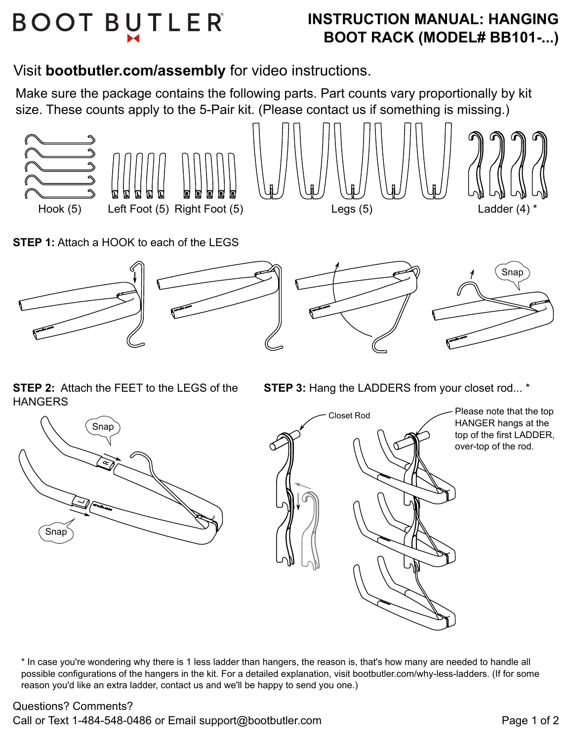# **BOOT BUTLER**

# **INSTRUCTION MANUAL: HANGING BOOT RACK (MODEL# BB101-...)**

Visit **bootbutler.com/assembly** for video instructions.

Make sure the package contains the following parts. Part counts vary proportionally by kit size. These counts apply to the 5-Pair kit. (Please contact us if something is missing.)



**STEP 1:** Attach a HOOK to each of the LEGS



**STEP 2:** Attach the FEET to the LEGS of the **HANGERS** 

**STEP 3: Hang the LADDERS from your closet rod...** \*

![](_page_0_Figure_9.jpeg)

![](_page_0_Picture_10.jpeg)

Please note that the top HANGER hangs at the top of the first LADDER, over-top of the rod.

\* In case you're wondering why there is 1 less ladder than hangers, the reason is, that's how many are needed to handle all possible configurations of the hangers in the kit. For a detailed explanation, visit bootbutler.com/why-less-ladders. (If for some reason you'd like an extra ladder, contact us and we'll be happy to send you one.)